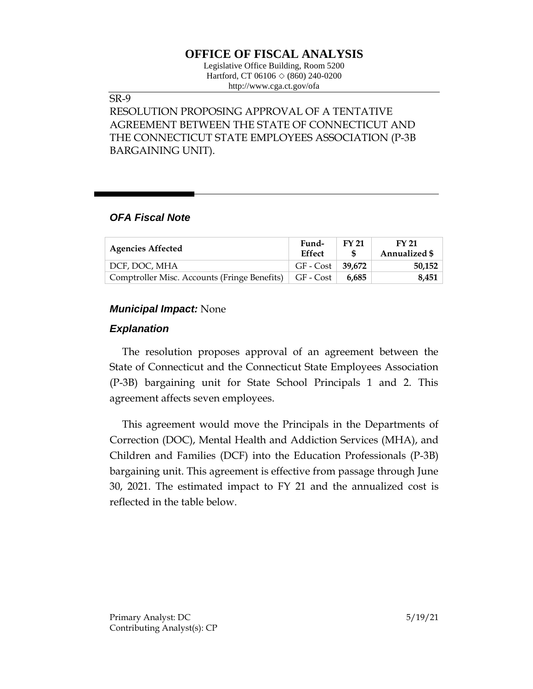# **OFFICE OF FISCAL ANALYSIS**

Legislative Office Building, Room 5200 Hartford, CT 06106 ◇ (860) 240-0200 http://www.cga.ct.gov/ofa

#### SR-9

RESOLUTION PROPOSING APPROVAL OF A TENTATIVE AGREEMENT BETWEEN THE STATE OF CONNECTICUT AND THE CONNECTICUT STATE EMPLOYEES ASSOCIATION (P-3B BARGAINING UNIT).

### *OFA Fiscal Note*

| <b>Agencies Affected</b>                                 | Fund-<br><b>Effect</b>     | <b>FY 21</b> | FY 21<br>Annualized \$ |
|----------------------------------------------------------|----------------------------|--------------|------------------------|
| DCF, DOC, MHA                                            | $GF - Cost \;   \; 39.672$ |              | 50.152                 |
| Comptroller Misc. Accounts (Fringe Benefits)   GF - Cost |                            | 6.685        | 8.451                  |

#### *Municipal Impact:* None

#### *Explanation*

The resolution proposes approval of an agreement between the State of Connecticut and the Connecticut State Employees Association (P-3B) bargaining unit for State School Principals 1 and 2. This agreement affects seven employees.

This agreement would move the Principals in the Departments of Correction (DOC), Mental Health and Addiction Services (MHA), and Children and Families (DCF) into the Education Professionals (P-3B) bargaining unit. This agreement is effective from passage through June 30, 2021. The estimated impact to FY 21 and the annualized cost is reflected in the table below.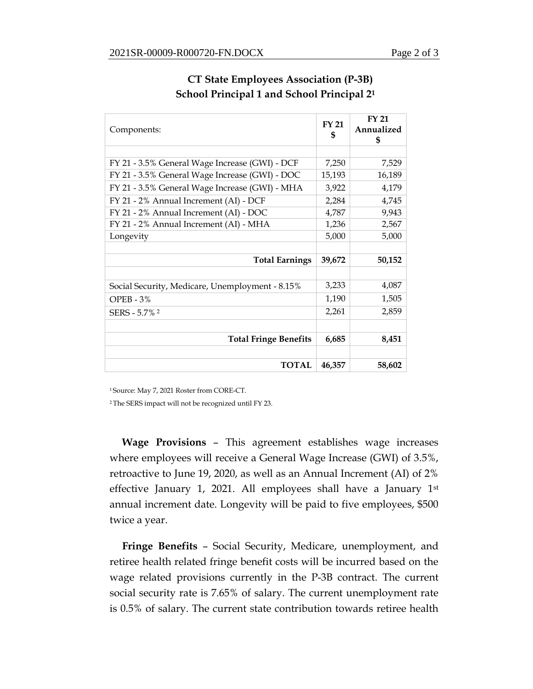| Components:                                     |        | <b>FY 21</b><br>Annualized<br>\$ |
|-------------------------------------------------|--------|----------------------------------|
|                                                 |        |                                  |
| FY 21 - 3.5% General Wage Increase (GWI) - DCF  |        | 7,529                            |
| FY 21 - 3.5% General Wage Increase (GWI) - DOC  |        | 16,189                           |
| FY 21 - 3.5% General Wage Increase (GWI) - MHA  |        | 4,179                            |
| FY 21 - 2% Annual Increment (AI) - DCF          | 2,284  | 4,745                            |
| FY 21 - 2% Annual Increment (AI) - DOC          | 4,787  | 9,943                            |
| FY 21 - 2% Annual Increment (AI) - MHA          |        | 2,567                            |
| Longevity                                       | 5,000  | 5,000                            |
|                                                 |        |                                  |
| <b>Total Earnings</b>                           | 39,672 | 50,152                           |
|                                                 |        |                                  |
| Social Security, Medicare, Unemployment - 8.15% | 3,233  | 4,087                            |
| $OPEB - 3%$                                     | 1,190  | 1,505                            |
| SERS - 5.7% 2                                   | 2,261  | 2,859                            |
|                                                 |        |                                  |
| <b>Total Fringe Benefits</b>                    |        | 8,451                            |
|                                                 |        |                                  |
| <b>TOTAL</b>                                    | 46,357 | 58,602                           |

## **CT State Employees Association (P-3B) School Principal 1 and School Principal 2<sup>1</sup>**

<sup>1</sup>Source: May 7, 2021 Roster from CORE-CT.

<sup>2</sup>The SERS impact will not be recognized until FY 23.

**Wage Provisions** – This agreement establishes wage increases where employees will receive a General Wage Increase (GWI) of 3.5%, retroactive to June 19, 2020, as well as an Annual Increment (AI) of 2% effective January 1, 2021. All employees shall have a January 1st annual increment date. Longevity will be paid to five employees, \$500 twice a year.

**Fringe Benefits** – Social Security, Medicare, unemployment, and retiree health related fringe benefit costs will be incurred based on the wage related provisions currently in the P-3B contract. The current social security rate is 7.65% of salary. The current unemployment rate is 0.5% of salary. The current state contribution towards retiree health